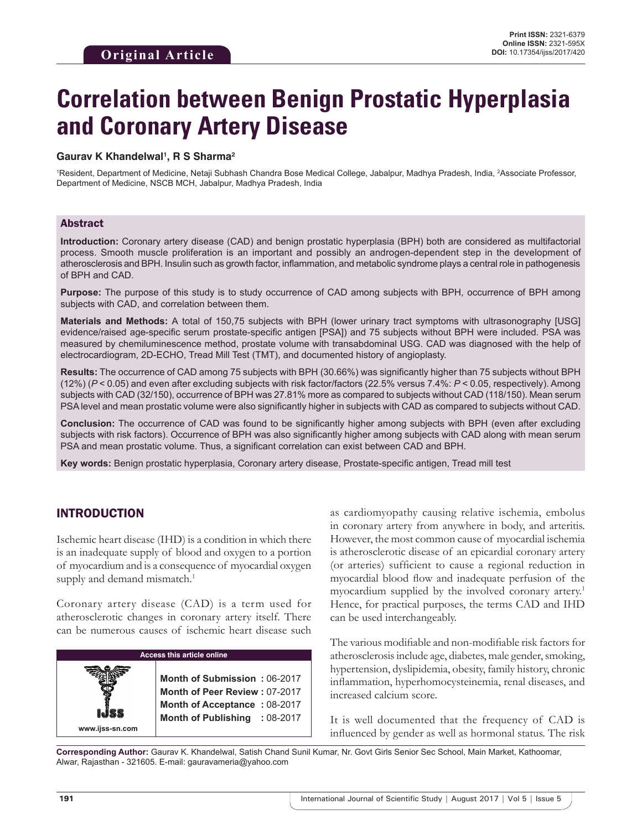# **Correlation between Benign Prostatic Hyperplasia and Coronary Artery Disease**

#### **Gaurav K Khandelwal1 , R S Sharma2**

1 Resident, Department of Medicine, Netaji Subhash Chandra Bose Medical College, Jabalpur, Madhya Pradesh, India, 2 Associate Professor, Department of Medicine, NSCB MCH, Jabalpur, Madhya Pradesh, India

#### Abstract

**Introduction:** Coronary artery disease (CAD) and benign prostatic hyperplasia (BPH) both are considered as multifactorial process. Smooth muscle proliferation is an important and possibly an androgen-dependent step in the development of atherosclerosis and BPH. Insulin such as growth factor, inflammation, and metabolic syndrome plays a central role in pathogenesis of BPH and CAD.

**Purpose:** The purpose of this study is to study occurrence of CAD among subjects with BPH, occurrence of BPH among subjects with CAD, and correlation between them.

**Materials and Methods:** A total of 150,75 subjects with BPH (lower urinary tract symptoms with ultrasonography [USG] evidence/raised age-specific serum prostate-specific antigen [PSA]) and 75 subjects without BPH were included. PSA was measured by chemiluminescence method, prostate volume with transabdominal USG. CAD was diagnosed with the help of electrocardiogram, 2D-ECHO, Tread Mill Test (TMT), and documented history of angioplasty.

**Results:** The occurrence of CAD among 75 subjects with BPH (30.66%) was significantly higher than 75 subjects without BPH (12%) (*P* < 0.05) and even after excluding subjects with risk factor/factors (22.5% versus 7.4%: *P* < 0.05, respectively). Among subjects with CAD (32/150), occurrence of BPH was 27.81% more as compared to subjects without CAD (118/150). Mean serum PSA level and mean prostatic volume were also significantly higher in subjects with CAD as compared to subjects without CAD.

**Conclusion:** The occurrence of CAD was found to be significantly higher among subjects with BPH (even after excluding subjects with risk factors). Occurrence of BPH was also significantly higher among subjects with CAD along with mean serum PSA and mean prostatic volume. Thus, a significant correlation can exist between CAD and BPH.

**Key words:** Benign prostatic hyperplasia, Coronary artery disease, Prostate-specific antigen, Tread mill test

# INTRODUCTION

Ischemic heart disease (IHD) is a condition in which there is an inadequate supply of blood and oxygen to a portion of myocardium and is a consequence of myocardial oxygen supply and demand mismatch.<sup>1</sup>

Coronary artery disease (CAD) is a term used for atherosclerotic changes in coronary artery itself. There can be numerous causes of ischemic heart disease such

| <b>Access this article online</b> |                                                                                                                                |  |  |
|-----------------------------------|--------------------------------------------------------------------------------------------------------------------------------|--|--|
| www.ijss-sn.com                   | Month of Submission: 06-2017<br>Month of Peer Review: 07-2017<br>Month of Acceptance: 08-2017<br>Month of Publishing : 08-2017 |  |  |

as cardiomyopathy causing relative ischemia, embolus in coronary artery from anywhere in body, and arteritis. However, the most common cause of myocardial ischemia is atherosclerotic disease of an epicardial coronary artery (or arteries) sufficient to cause a regional reduction in myocardial blood flow and inadequate perfusion of the myocardium supplied by the involved coronary artery.1 Hence, for practical purposes, the terms CAD and IHD can be used interchangeably.

The various modifiable and non-modifiable risk factors for atherosclerosis include age, diabetes, male gender, smoking, hypertension, dyslipidemia, obesity, family history, chronic inflammation, hyperhomocysteinemia, renal diseases, and increased calcium score.

It is well documented that the frequency of CAD is influenced by gender as well as hormonal status. The risk

**Corresponding Author:** Gaurav K. Khandelwal, Satish Chand Sunil Kumar, Nr. Govt Girls Senior Sec School, Main Market, Kathoomar, Alwar, Rajasthan - 321605. E-mail: gauravameria@yahoo.com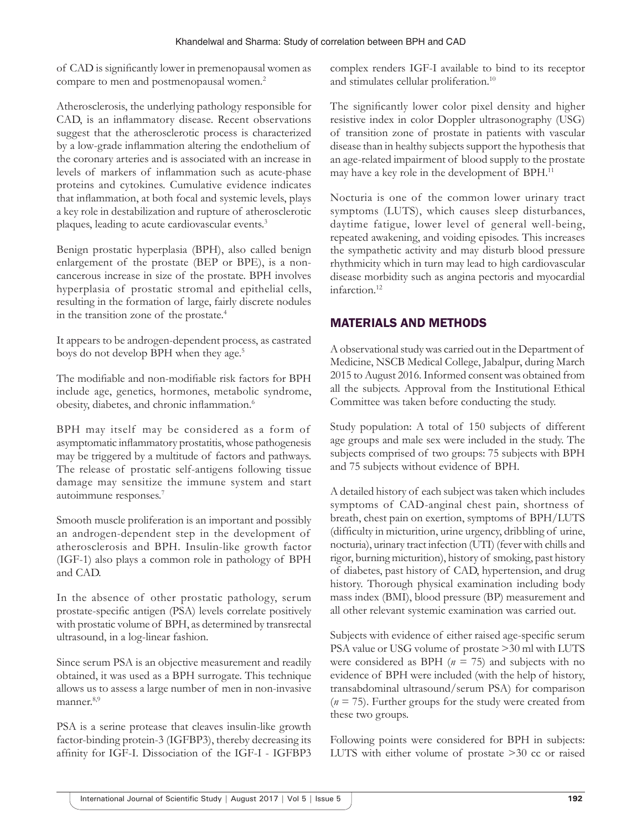of CAD is significantly lower in premenopausal women as compare to men and postmenopausal women.2

Atherosclerosis, the underlying pathology responsible for CAD, is an inflammatory disease. Recent observations suggest that the atherosclerotic process is characterized by a low-grade inflammation altering the endothelium of the coronary arteries and is associated with an increase in levels of markers of inflammation such as acute-phase proteins and cytokines. Cumulative evidence indicates that inflammation, at both focal and systemic levels, plays a key role in destabilization and rupture of atherosclerotic plaques, leading to acute cardiovascular events.<sup>3</sup>

Benign prostatic hyperplasia (BPH), also called benign enlargement of the prostate (BEP or BPE), is a noncancerous increase in size of the prostate. BPH involves hyperplasia of prostatic stromal and epithelial cells, resulting in the formation of large, fairly discrete nodules in the transition zone of the prostate.4

It appears to be androgen-dependent process, as castrated boys do not develop BPH when they age.<sup>5</sup>

The modifiable and non-modifiable risk factors for BPH include age, genetics, hormones, metabolic syndrome, obesity, diabetes, and chronic inflammation.<sup>6</sup>

BPH may itself may be considered as a form of asymptomatic inflammatory prostatitis, whose pathogenesis may be triggered by a multitude of factors and pathways. The release of prostatic self-antigens following tissue damage may sensitize the immune system and start autoimmune responses.<sup>7</sup>

Smooth muscle proliferation is an important and possibly an androgen-dependent step in the development of atherosclerosis and BPH. Insulin-like growth factor (IGF-1) also plays a common role in pathology of BPH and CAD.

In the absence of other prostatic pathology, serum prostate-specific antigen (PSA) levels correlate positively with prostatic volume of BPH, as determined by transrectal ultrasound, in a log-linear fashion.

Since serum PSA is an objective measurement and readily obtained, it was used as a BPH surrogate. This technique allows us to assess a large number of men in non-invasive manner.<sup>8,9</sup>

PSA is a serine protease that cleaves insulin-like growth factor-binding protein-3 (IGFBP3), thereby decreasing its affinity for IGF-I. Dissociation of the IGF-I - IGFBP3 complex renders IGF-I available to bind to its receptor and stimulates cellular proliferation.10

The significantly lower color pixel density and higher resistive index in color Doppler ultrasonography (USG) of transition zone of prostate in patients with vascular disease than in healthy subjects support the hypothesis that an age-related impairment of blood supply to the prostate may have a key role in the development of BPH.<sup>11</sup>

Nocturia is one of the common lower urinary tract symptoms (LUTS), which causes sleep disturbances, daytime fatigue, lower level of general well-being, repeated awakening, and voiding episodes. This increases the sympathetic activity and may disturb blood pressure rhythmicity which in turn may lead to high cardiovascular disease morbidity such as angina pectoris and myocardial infarction.12

# MATERIALS AND METHODS

A observational study was carried out in the Department of Medicine, NSCB Medical College, Jabalpur, during March 2015 to August 2016. Informed consent was obtained from all the subjects. Approval from the Institutional Ethical Committee was taken before conducting the study.

Study population: A total of 150 subjects of different age groups and male sex were included in the study. The subjects comprised of two groups: 75 subjects with BPH and 75 subjects without evidence of BPH.

A detailed history of each subject was taken which includes symptoms of CAD-anginal chest pain, shortness of breath, chest pain on exertion, symptoms of BPH/LUTS (difficulty in micturition, urine urgency, dribbling of urine, nocturia), urinary tract infection (UTI) (fever with chills and rigor, burning micturition), history of smoking, past history of diabetes, past history of CAD, hypertension, and drug history. Thorough physical examination including body mass index (BMI), blood pressure (BP) measurement and all other relevant systemic examination was carried out.

Subjects with evidence of either raised age-specific serum PSA value or USG volume of prostate >30 ml with LUTS were considered as BPH (*n* = 75) and subjects with no evidence of BPH were included (with the help of history, transabdominal ultrasound/serum PSA) for comparison (*n* = 75). Further groups for the study were created from these two groups.

Following points were considered for BPH in subjects: LUTS with either volume of prostate >30 cc or raised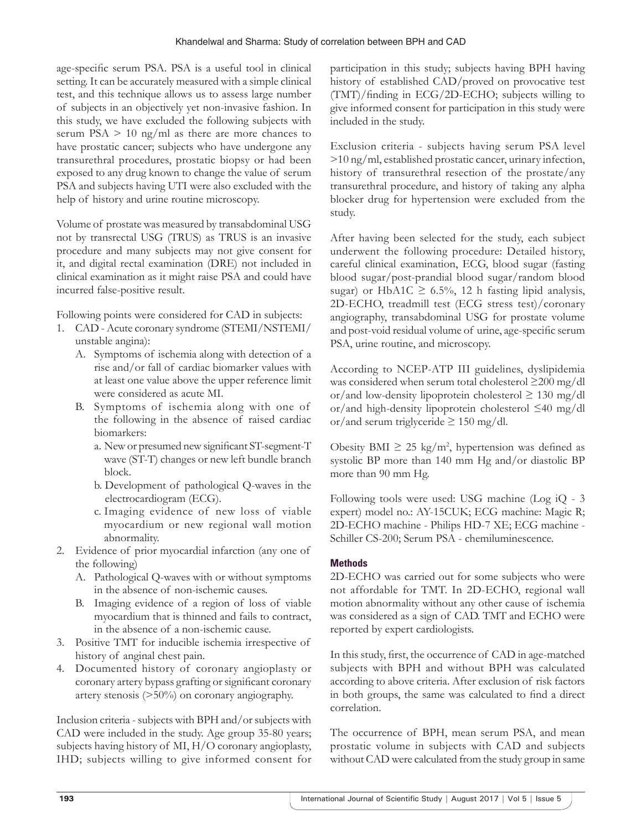age-specific serum PSA. PSA is a useful tool in clinical setting. It can be accurately measured with a simple clinical test, and this technique allows us to assess large number of subjects in an objectively yet non-invasive fashion. In this study, we have excluded the following subjects with serum PSA  $> 10$  ng/ml as there are more chances to have prostatic cancer; subjects who have undergone any transurethral procedures, prostatic biopsy or had been exposed to any drug known to change the value of serum PSA and subjects having UTI were also excluded with the help of history and urine routine microscopy.

Volume of prostate was measured by transabdominal USG not by transrectal USG (TRUS) as TRUS is an invasive procedure and many subjects may not give consent for it, and digital rectal examination (DRE) not included in clinical examination as it might raise PSA and could have incurred false-positive result.

Following points were considered for CAD in subjects:

- 1. CAD Acute coronary syndrome (STEMI/NSTEMI/ unstable angina):
	- A. Symptoms of ischemia along with detection of a rise and/or fall of cardiac biomarker values with at least one value above the upper reference limit were considered as acute MI.
	- B. Symptoms of ischemia along with one of the following in the absence of raised cardiac biomarkers:
		- a. New or presumed new significant ST-segment-T wave (ST-T) changes or new left bundle branch block.
		- b. Development of pathological Q-waves in the electrocardiogram (ECG).
		- c. Imaging evidence of new loss of viable myocardium or new regional wall motion abnormality.
- 2. Evidence of prior myocardial infarction (any one of the following)
	- A. Pathological Q-waves with or without symptoms in the absence of non-ischemic causes.
	- B. Imaging evidence of a region of loss of viable myocardium that is thinned and fails to contract, in the absence of a non-ischemic cause.
- 3. Positive TMT for inducible ischemia irrespective of history of anginal chest pain.
- 4. Documented history of coronary angioplasty or coronary artery bypass grafting or significant coronary artery stenosis (>50%) on coronary angiography.

Inclusion criteria - subjects with BPH and/or subjects with CAD were included in the study. Age group 35-80 years; subjects having history of MI, H/O coronary angioplasty, IHD; subjects willing to give informed consent for

participation in this study; subjects having BPH having history of established CAD/proved on provocative test (TMT)/finding in ECG/2D-ECHO; subjects willing to give informed consent for participation in this study were included in the study.

Exclusion criteria - subjects having serum PSA level >10 ng/ml, established prostatic cancer, urinary infection, history of transurethral resection of the prostate/any transurethral procedure, and history of taking any alpha blocker drug for hypertension were excluded from the study.

After having been selected for the study, each subject underwent the following procedure: Detailed history, careful clinical examination, ECG, blood sugar (fasting blood sugar/post-prandial blood sugar/random blood sugar) or HbA1C  $\geq$  6.5%, 12 h fasting lipid analysis, 2D-ECHO, treadmill test (ECG stress test)/coronary angiography, transabdominal USG for prostate volume and post-void residual volume of urine, age-specific serum PSA, urine routine, and microscopy.

According to NCEP-ATP III guidelines, dyslipidemia was considered when serum total cholesterol ≥200 mg/dl or/and low-density lipoprotein cholesterol  $\geq 130$  mg/dl or/and high-density lipoprotein cholesterol ≤40 mg/dl or/and serum triglyceride  $\geq 150$  mg/dl.

Obesity BMI  $\geq 25 \text{ kg/m}^2$ , hypertension was defined as systolic BP more than 140 mm Hg and/or diastolic BP more than 90 mm Hg.

Following tools were used: USG machine (Log iQ - 3 expert) model no.: AY-15CUK; ECG machine: Magic R; 2D-ECHO machine - Philips HD-7 XE; ECG machine - Schiller CS-200; Serum PSA - chemiluminescence.

# **Methods**

2D-ECHO was carried out for some subjects who were not affordable for TMT. In 2D-ECHO, regional wall motion abnormality without any other cause of ischemia was considered as a sign of CAD. TMT and ECHO were reported by expert cardiologists.

In this study, first, the occurrence of CAD in age-matched subjects with BPH and without BPH was calculated according to above criteria. After exclusion of risk factors in both groups, the same was calculated to find a direct correlation.

The occurrence of BPH, mean serum PSA, and mean prostatic volume in subjects with CAD and subjects without CAD were calculated from the study group in same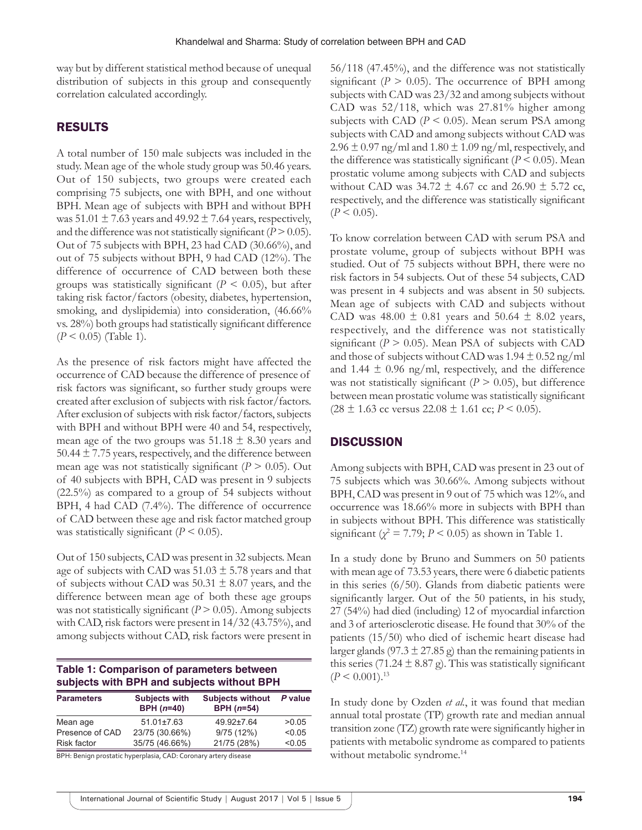way but by different statistical method because of unequal distribution of subjects in this group and consequently correlation calculated accordingly.

## RESULTS

A total number of 150 male subjects was included in the study. Mean age of the whole study group was 50.46 years. Out of 150 subjects, two groups were created each comprising 75 subjects, one with BPH, and one without BPH. Mean age of subjects with BPH and without BPH was  $51.01 \pm 7.63$  years and  $49.92 \pm 7.64$  years, respectively, and the difference was not statistically significant  $(P > 0.05)$ . Out of 75 subjects with BPH, 23 had CAD (30.66%), and out of 75 subjects without BPH, 9 had CAD (12%). The difference of occurrence of CAD between both these groups was statistically significant  $(P \leq 0.05)$ , but after taking risk factor/factors (obesity, diabetes, hypertension, smoking, and dyslipidemia) into consideration, (46.66% vs. 28%) both groups had statistically significant difference (*P* < 0.05) (Table 1).

As the presence of risk factors might have affected the occurrence of CAD because the difference of presence of risk factors was significant, so further study groups were created after exclusion of subjects with risk factor/factors. After exclusion of subjects with risk factor/factors, subjects with BPH and without BPH were 40 and 54, respectively, mean age of the two groups was  $51.18 \pm 8.30$  years and 50.44  $\pm$  7.75 years, respectively, and the difference between mean age was not statistically significant  $(P > 0.05)$ . Out of 40 subjects with BPH, CAD was present in 9 subjects (22.5%) as compared to a group of 54 subjects without BPH, 4 had CAD (7.4%). The difference of occurrence of CAD between these age and risk factor matched group was statistically significant  $(P < 0.05)$ .

Out of 150 subjects, CAD was present in 32 subjects. Mean age of subjects with CAD was  $51.03 \pm 5.78$  years and that of subjects without CAD was  $50.31 \pm 8.07$  years, and the difference between mean age of both these age groups was not statistically significant  $(P > 0.05)$ . Among subjects with CAD, risk factors were present in 14/32 (43.75%), and among subjects without CAD, risk factors were present in

| Table 1: Comparison of parameters between  |  |
|--------------------------------------------|--|
| subjects with BPH and subjects without BPH |  |

| <b>Parameters</b>                                              | <b>Subjects with</b><br>$BPH (n=40)$ | <b>Subjects without</b><br>$BPH (n=54)$ | P value |
|----------------------------------------------------------------|--------------------------------------|-----------------------------------------|---------|
| Mean age                                                       | $51.01 \pm 7.63$                     | 49.92±7.64                              | >0.05   |
| Presence of CAD                                                | 23/75 (30.66%)                       | 9/75(12%)                               | < 0.05  |
| <b>Risk factor</b>                                             | 35/75 (46.66%)                       | 21/75 (28%)                             | < 0.05  |
| $\sim$ $\sim$ $\sim$ $\sim$<br>$\cdot$ $\cdot$ $\cdot$ $\cdot$ | $\cdots$ $\cdots$ $\cdots$           | $\sim$ $\sim$                           |         |

BPH: Benign prostatic hyperplasia, CAD: Coronary artery disease

56/118 (47.45%), and the difference was not statistically significant ( $P > 0.05$ ). The occurrence of BPH among subjects with CAD was 23/32 and among subjects without CAD was 52/118, which was 27.81% higher among subjects with CAD ( $P \le 0.05$ ). Mean serum PSA among subjects with CAD and among subjects without CAD was  $2.96 \pm 0.97$  ng/ml and  $1.80 \pm 1.09$  ng/ml, respectively, and the difference was statistically significant  $(P < 0.05)$ . Mean prostatic volume among subjects with CAD and subjects without CAD was  $34.72 \pm 4.67$  cc and  $26.90 \pm 5.72$  cc, respectively, and the difference was statistically significant  $(P < 0.05)$ .

To know correlation between CAD with serum PSA and prostate volume, group of subjects without BPH was studied. Out of 75 subjects without BPH, there were no risk factors in 54 subjects. Out of these 54 subjects, CAD was present in 4 subjects and was absent in 50 subjects. Mean age of subjects with CAD and subjects without CAD was 48.00  $\pm$  0.81 years and 50.64  $\pm$  8.02 years, respectively, and the difference was not statistically significant ( $P > 0.05$ ). Mean PSA of subjects with CAD and those of subjects without CAD was  $1.94 \pm 0.52$  ng/ml and 1.44  $\pm$  0.96 ng/ml, respectively, and the difference was not statistically significant  $(P > 0.05)$ , but difference between mean prostatic volume was statistically significant  $(28 \pm 1.63 \text{ cc} \text{ versus } 22.08 \pm 1.61 \text{ cc}; P \le 0.05).$ 

#### **DISCUSSION**

Among subjects with BPH, CAD was present in 23 out of 75 subjects which was 30.66%. Among subjects without BPH, CAD was present in 9 out of 75 which was 12%, and occurrence was 18.66% more in subjects with BPH than in subjects without BPH. This difference was statistically significant  $(\chi^2 = 7.79; P \le 0.05)$  as shown in Table 1.

In a study done by Bruno and Summers on 50 patients with mean age of 73.53 years, there were 6 diabetic patients in this series (6/50). Glands from diabetic patients were significantly larger. Out of the 50 patients, in his study, 27 (54%) had died (including) 12 of myocardial infarction and 3 of arteriosclerotic disease. He found that 30% of the patients (15/50) who died of ischemic heart disease had larger glands (97.3  $\pm$  27.85 g) than the remaining patients in this series (71.24  $\pm$  8.87 g). This was statistically significant  $(P < 0.001).$ <sup>13</sup>

In study done by Ozden *et al.*, it was found that median annual total prostate (TP) growth rate and median annual transition zone (TZ) growth rate were significantly higher in patients with metabolic syndrome as compared to patients without metabolic syndrome.<sup>14</sup>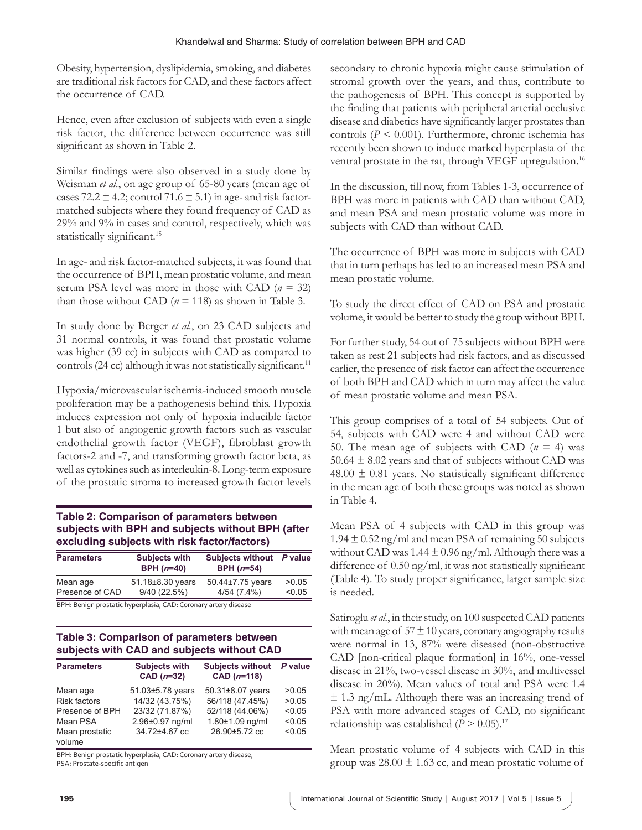Obesity, hypertension, dyslipidemia, smoking, and diabetes are traditional risk factors for CAD, and these factors affect the occurrence of CAD.

Hence, even after exclusion of subjects with even a single risk factor, the difference between occurrence was still significant as shown in Table 2.

Similar findings were also observed in a study done by Weisman *et al.*, on age group of 65-80 years (mean age of cases 72.2  $\pm$  4.2; control 71.6  $\pm$  5.1) in age- and risk factormatched subjects where they found frequency of CAD as 29% and 9% in cases and control, respectively, which was statistically significant.<sup>15</sup>

In age- and risk factor-matched subjects, it was found that the occurrence of BPH, mean prostatic volume, and mean serum PSA level was more in those with CAD (*n* = 32) than those without CAD ( $n = 118$ ) as shown in Table 3.

In study done by Berger *et al.*, on 23 CAD subjects and 31 normal controls, it was found that prostatic volume was higher (39 cc) in subjects with CAD as compared to controls (24 cc) although it was not statistically significant.<sup>11</sup>

Hypoxia/microvascular ischemia-induced smooth muscle proliferation may be a pathogenesis behind this. Hypoxia induces expression not only of hypoxia inducible factor 1 but also of angiogenic growth factors such as vascular endothelial growth factor (VEGF), fibroblast growth factors-2 and -7, and transforming growth factor beta, as well as cytokines such as interleukin-8. Long-term exposure of the prostatic stroma to increased growth factor levels

## **Table 2: Comparison of parameters between subjects with BPH and subjects without BPH (after excluding subjects with risk factor/factors)**

| <b>Parameters</b> | <b>Subjects with</b><br>$BPH (n=40)$ | <b>Subjects without</b><br>BPH $(n=54)$ | P value |
|-------------------|--------------------------------------|-----------------------------------------|---------|
| Mean age          | 51.18±8.30 years                     | 50.44±7.75 years                        | >0.05   |
| Presence of CAD   | 9/40(22.5%)                          | 4/54(7.4%)                              | < 0.05  |
| __ _ . _          |                                      |                                         |         |

BPH: Benign prostatic hyperplasia, CAD: Coronary artery disease

# **Table 3: Comparison of parameters between subjects with CAD and subjects without CAD**

| <b>Parameters</b>        | <b>Subjects with</b><br>$CAD (n=32)$ | <b>Subjects without</b><br>CAD $(n=118)$ | P value |
|--------------------------|--------------------------------------|------------------------------------------|---------|
| Mean age                 | 51.03±5.78 years                     | 50.31±8.07 years                         | >0.05   |
| <b>Risk factors</b>      | 14/32 (43.75%)                       | 56/118 (47.45%)                          | >0.05   |
| Presence of BPH          | 23/32 (71.87%)                       | 52/118 (44.06%)                          | < 0.05  |
| Mean PSA                 | 2.96±0.97 ng/ml                      | 1.80±1.09 ng/ml                          | < 0.05  |
| Mean prostatic<br>volume | 34.72±4.67 cc                        | 26.90±5.72 cc                            | < 0.05  |

BPH: Benign prostatic hyperplasia, CAD: Coronary artery disease, PSA: Prostate‑specific antigen

secondary to chronic hypoxia might cause stimulation of stromal growth over the years, and thus, contribute to the pathogenesis of BPH. This concept is supported by the finding that patients with peripheral arterial occlusive disease and diabetics have significantly larger prostates than controls (*P* < 0.001). Furthermore, chronic ischemia has recently been shown to induce marked hyperplasia of the ventral prostate in the rat, through VEGF upregulation.<sup>16</sup>

In the discussion, till now, from Tables 1-3, occurrence of BPH was more in patients with CAD than without CAD, and mean PSA and mean prostatic volume was more in subjects with CAD than without CAD.

The occurrence of BPH was more in subjects with CAD that in turn perhaps has led to an increased mean PSA and mean prostatic volume.

To study the direct effect of CAD on PSA and prostatic volume, it would be better to study the group without BPH.

For further study, 54 out of 75 subjects without BPH were taken as rest 21 subjects had risk factors, and as discussed earlier, the presence of risk factor can affect the occurrence of both BPH and CAD which in turn may affect the value of mean prostatic volume and mean PSA.

This group comprises of a total of 54 subjects. Out of 54, subjects with CAD were 4 and without CAD were 50. The mean age of subjects with CAD  $(n = 4)$  was 50.64  $\pm$  8.02 years and that of subjects without CAD was  $48.00 \pm 0.81$  years. No statistically significant difference in the mean age of both these groups was noted as shown in Table 4.

Mean PSA of 4 subjects with CAD in this group was  $1.94 \pm 0.52$  ng/ml and mean PSA of remaining 50 subjects without CAD was  $1.44 \pm 0.96$  ng/ml. Although there was a difference of 0.50 ng/ml, it was not statistically significant (Table 4). To study proper significance, larger sample size is needed.

Satiroglu *et al.*, in their study, on 100 suspected CAD patients with mean age of  $57 \pm 10$  years, coronary angiography results were normal in 13, 87% were diseased (non-obstructive CAD [non-critical plaque formation] in 16%, one-vessel disease in 21%, two-vessel disease in 30%, and multivessel disease in 20%). Mean values of total and PSA were 1.4  $\pm$  1.3 ng/mL. Although there was an increasing trend of PSA with more advanced stages of CAD, no significant relationship was established  $(P > 0.05)$ .<sup>17</sup>

Mean prostatic volume of 4 subjects with CAD in this group was  $28.00 \pm 1.63$  cc, and mean prostatic volume of